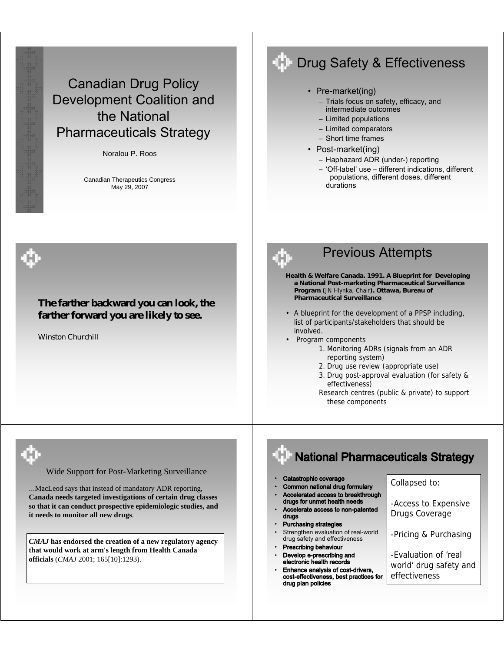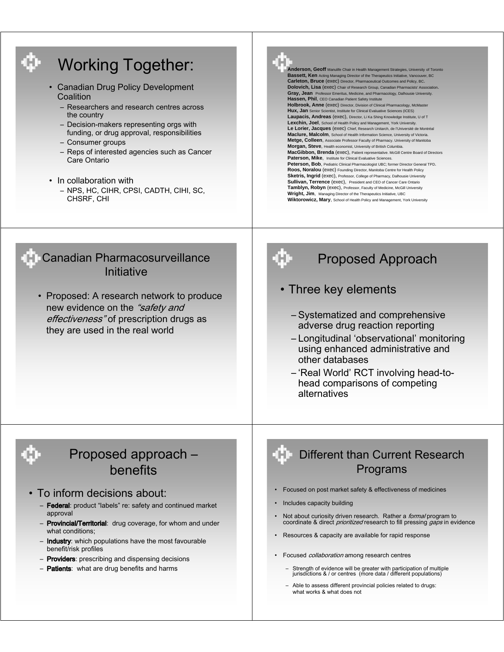

- Provincial/Territorial: drug coverage, for whom and under what conditions;
- Industry: which populations have the most favourable benefit/risk profiles
- Providers: prescribing and dispensing decisions
- Patients: what are drug benefits and harms

Anderson, Geoff Manulife Chair in Health Management Strategies, University of Toronto **Bassett, Ken** Acting Managing Director of the Therapeutics Initiative, Vancouver, BC **Carleton, Bruce** (exec) Director, Pharmaceutical Outcomes and Policy, BC. **Dolovich, Lisa** (exec) Chair of Research Group, Canadian Pharmacists' Association. **Gray, Jean** Professor Emeritus, Medicine, and Pharmacology, Dalhousie University. **Hassen, Phil**, CEO Canadian Patient Safety Institute **Holbrook, Anne** (exec) Director, Division of Clinical Pharmacology, McMaster **Hux, Jan** Senior Scientist, Institute for Clinical Evaluative Sciences (ICES) **Laupacis, Andreas** (exec), Director, Li Ka Shing Knowledge Institute, U of T **Lexchin, Joel**, School of Health Policy and Management, York University. **Le Lorier, Jacques** (exec) Chief, Research Unitarch, de l'Université de Montréal **Maclure, Malcolm**, School of Health Information Science, University of Victoria. **Metge, Colleen**, Associate Professor Faculty of Pharmacy. University of Manitoba **Morgan, Steve**, Health economist, University of British Columbia. **MacGibbon, Brenda** (exec), Patient representative. McGill Centre Board of Directors Paterson, Mike, Institute for Clinical Evaluative Sciences. **Peterson, Bob**, Pediatric Clinical Pharmacologist UBC; former Director General TPD. **Roos, Noralou** (exec) Founding Director, Manitoba Centre for Health Policy Sketris, Ingrid (exec), Professor, College of Pharmacy, Dalhousie University **Sullivan, Terrence** (exec), President and CEO of Cancer Care Ontario **Tamblyn, Robyn** (exec), Professor, Faculty of Medicine, McGill University **Wright, Jim**, Managing Director of the Therapeutics Initiative, UBC **Wiktorowicz, Mary**, School of Health Policy and Management, York University

# Proposed Approach

- Three key elements
	- Systematized and comprehensive adverse drug reaction reporting
	- Longitudinal 'observational' monitoring using enhanced administrative and other databases
	- 'Real World' RCT involving head-tohead comparisons of competing alternatives

### **THE Different than Current Research** Programs

- Focused on post market safety & effectiveness of medicines
- Includes capacity building
- Not about curiosity driven research. Rather a *formal* program to coordinate & direct *prioritized* research to fill pressing *gaps* in evidence
- Resources & capacity are available for rapid response
- Focused *collaboration* among research centres
	- Strength of evidence will be greater with participation of multiple jurisdictions & / or centres (more data / different populations)
	- Able to assess different provincial policies related to drugs: what works & what does not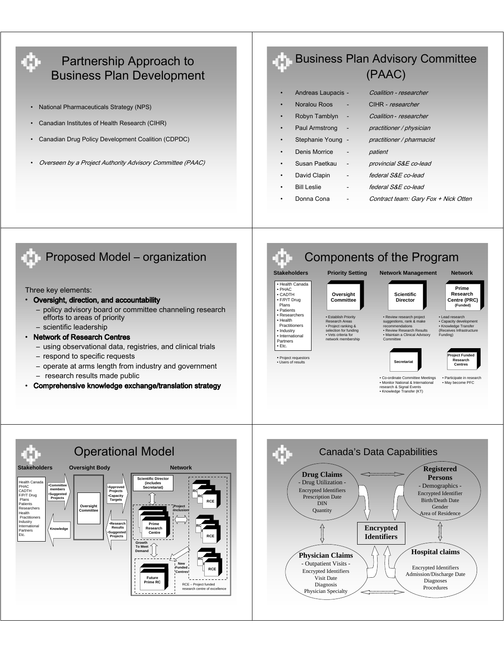

#### Partnership Approach to Business Plan Development

- National Pharmaceuticals Strategy (NPS)
- Canadian Institutes of Health Research (CIHR)
- Canadian Drug Policy Development Coalition (CDPDC)
- Overseen by a Project Authority Advisory Committee (PAAC)

#### Business Plan Advisory Committee (PAAC)

|           | Andreas Laupacis - | Coalition - researcher               |
|-----------|--------------------|--------------------------------------|
| $\bullet$ | Noralou Roos       | CIHR - researcher                    |
| $\bullet$ | Robyn Tamblyn      | Coalition - researcher               |
|           | Paul Armstrong     | practitioner / physician             |
|           | Stephanie Young -  | practitioner / pharmacist            |
|           | Denis Morrice      | patient                              |
|           | Susan Paetkau      | provincial S&E co-lead               |
|           | David Clapin       | federal S&E co-lead                  |
|           | <b>Bill Leslie</b> | federal S&E co-lead                  |
| ٠         | Donna Cona         | Contract team: Gary Fox + Nick Otten |

#### **Proposed Model – organization**

#### Three key elements:

- Oversight, direction, and accountability
	- policy advisory board or committee channeling research efforts to areas of priority – scientific leadership
- Network of Research Centres
	- using observational data, registries, and clinical trials
	- respond to specific requests
	- operate at arms length from industry and government
	- research results made public
- Comprehensive knowledge exchange/translation strategy





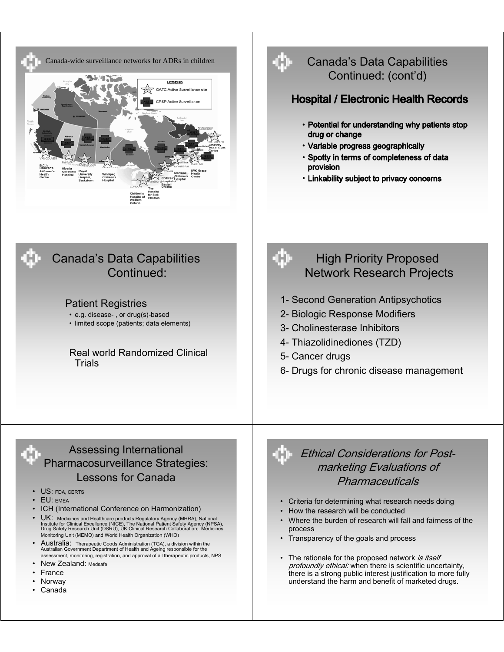